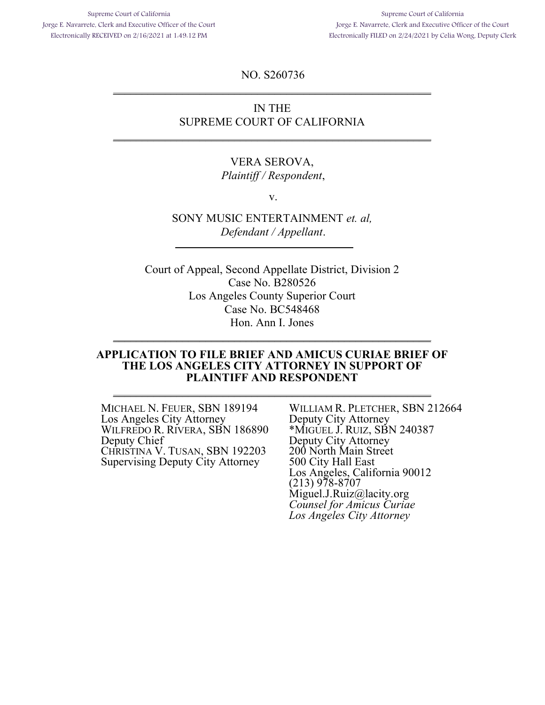Supreme Court of California Jorge E. Navarrete, Clerk and Executive Officer of the Court Electronically RECEIVED on 2/16/2021 at 1:49:12 PM

Supreme Court of California Jorge E. Navarrete, Clerk and Executive Officer of the Court Electronically FILED on 2/24/2021 by Celia Wong, Deputy Clerk

NO. S260736 \_\_\_\_\_\_\_\_\_\_\_\_\_\_\_\_\_\_\_\_\_\_\_\_\_\_\_\_\_\_\_\_\_\_\_\_\_\_\_\_\_\_\_\_\_\_\_\_\_\_\_\_\_\_\_

## IN THE SUPREME COURT OF CALIFORNIA

\_\_\_\_\_\_\_\_\_\_\_\_\_\_\_\_\_\_\_\_\_\_\_\_\_\_\_\_\_\_\_\_\_\_\_\_\_\_\_\_\_\_\_\_\_\_\_\_\_\_\_\_\_\_\_

### VERA SEROVA, Plaintiff / Respondent,

v.

SONY MUSIC ENTERTAINMENT et. al, Defendant / Appellant.

Court of Appeal, Second Appellate District, Division 2 Case No. B280526 Los Angeles County Superior Court Case No. BC548468 Hon. Ann I. Jones

#### APPLICATION TO FILE BRIEF AND AMICUS CURIAE BRIEF OF THE LOS ANGELES CITY ATTORNEY IN SUPPORT OF PLAINTIFF AND RESPONDENT

\_\_\_\_\_\_\_\_\_\_\_\_\_\_\_\_\_\_\_\_\_\_\_\_\_\_\_\_\_\_\_\_\_\_\_\_\_\_\_\_\_\_\_\_\_\_\_\_\_\_\_\_\_\_\_

\_\_\_\_\_\_\_\_\_\_\_\_\_\_\_\_\_\_\_\_\_\_\_\_\_\_\_\_\_\_\_\_\_\_\_\_\_\_\_\_\_\_\_\_\_\_\_\_\_\_\_\_\_\_\_

MICHAEL N. FEUER, SBN 189194 Los Angeles City Attorney WILFREDO R. RIVERA, SBN 186890 Deputy Chief CHRISTINA V. TUSAN, SBN 192203 Supervising Deputy City Attorney

WILLIAM R. PLETCHER, SBN 212664 Deputy City Attorney \*MIGUEL J. RUIZ, SBN 240387 Deputy City Attorney 200 North Main Street 500 City Hall East Los Angeles, California 90012 (213) 978-8707 Miguel.J.Ruiz@lacity.org Counsel for Amicus Curiae Los Angeles City Attorney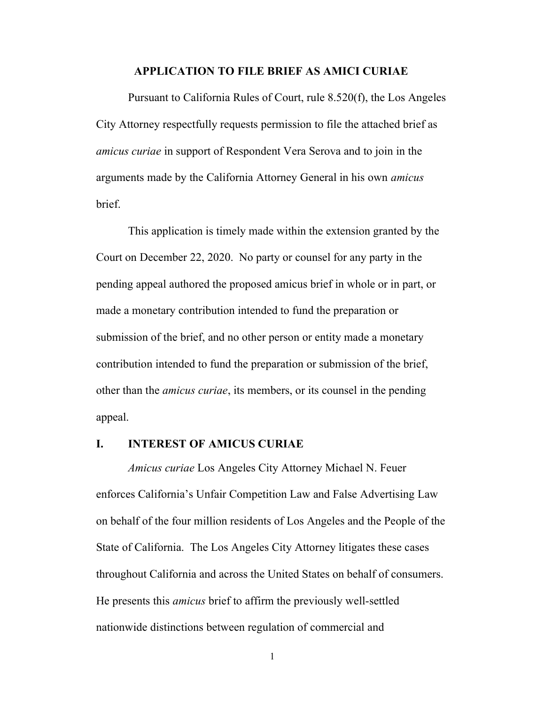#### APPLICATION TO FILE BRIEF AS AMICI CURIAE

Pursuant to California Rules of Court, rule 8.520(f), the Los Angeles City Attorney respectfully requests permission to file the attached brief as amicus curiae in support of Respondent Vera Serova and to join in the arguments made by the California Attorney General in his own amicus brief.

This application is timely made within the extension granted by the Court on December 22, 2020. No party or counsel for any party in the pending appeal authored the proposed amicus brief in whole or in part, or made a monetary contribution intended to fund the preparation or submission of the brief, and no other person or entity made a monetary contribution intended to fund the preparation or submission of the brief, other than the *amicus curiae*, its members, or its counsel in the pending appeal.

### I. INTEREST OF AMICUS CURIAE

Amicus curiae Los Angeles City Attorney Michael N. Feuer enforces California's Unfair Competition Law and False Advertising Law on behalf of the four million residents of Los Angeles and the People of the State of California. The Los Angeles City Attorney litigates these cases throughout California and across the United States on behalf of consumers. He presents this amicus brief to affirm the previously well-settled nationwide distinctions between regulation of commercial and

1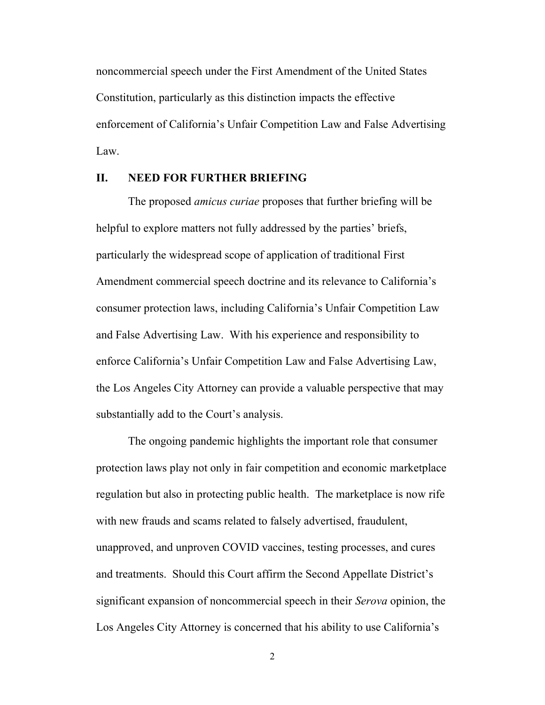noncommercial speech under the First Amendment of the United States Constitution, particularly as this distinction impacts the effective enforcement of California's Unfair Competition Law and False Advertising Law.

### II. NEED FOR FURTHER BRIEFING

The proposed *amicus curiae* proposes that further briefing will be helpful to explore matters not fully addressed by the parties' briefs, particularly the widespread scope of application of traditional First Amendment commercial speech doctrine and its relevance to California's consumer protection laws, including California's Unfair Competition Law and False Advertising Law. With his experience and responsibility to enforce California's Unfair Competition Law and False Advertising Law, the Los Angeles City Attorney can provide a valuable perspective that may substantially add to the Court's analysis.

The ongoing pandemic highlights the important role that consumer protection laws play not only in fair competition and economic marketplace regulation but also in protecting public health. The marketplace is now rife with new frauds and scams related to falsely advertised, fraudulent, unapproved, and unproven COVID vaccines, testing processes, and cures and treatments. Should this Court affirm the Second Appellate District's significant expansion of noncommercial speech in their Serova opinion, the Los Angeles City Attorney is concerned that his ability to use California's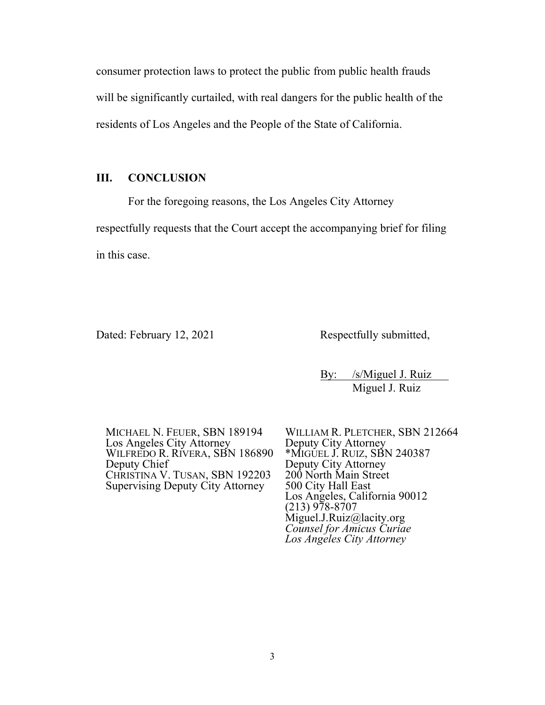consumer protection laws to protect the public from public health frauds will be significantly curtailed, with real dangers for the public health of the residents of Los Angeles and the People of the State of California.

### III. CONCLUSION

For the foregoing reasons, the Los Angeles City Attorney respectfully requests that the Court accept the accompanying brief for filing in this case.

Dated: February 12, 2021 Respectfully submitted,

By: /s/Miguel J. Ruiz Miguel J. Ruiz

MICHAEL N. FEUER, SBN 189194 Los Angeles City Attorney WILFREDO R. RIVERA, SBN 186890 Deputy Chief CHRISTINA V. TUSAN, SBN 192203 Supervising Deputy City Attorney

WILLIAM R. PLETCHER, SBN 212664 Deputy City Attorney \*MIGUEL J. RUIZ, SBN 240387 Deputy City Attorney 200 North Main Street 500 City Hall East Los Angeles, California 90012 (213) 978-8707 Miguel.J.Ruiz@lacity.org Counsel for Amicus Curiae Los Angeles City Attorney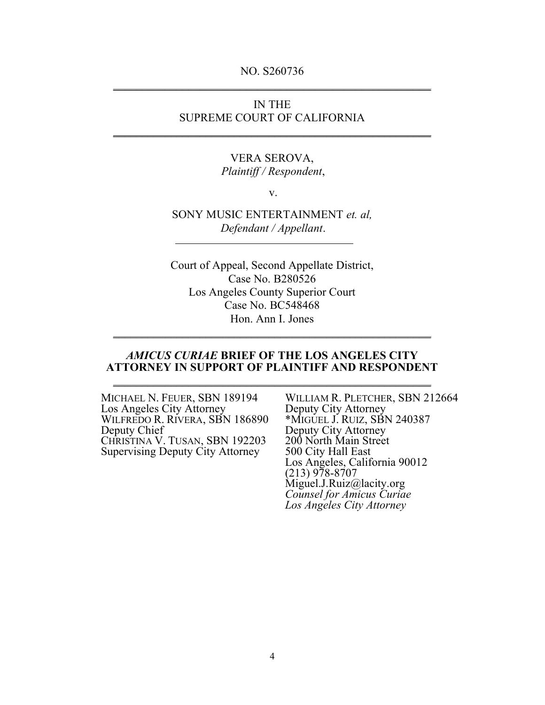## NO. S260736 \_\_\_\_\_\_\_\_\_\_\_\_\_\_\_\_\_\_\_\_\_\_\_\_\_\_\_\_\_\_\_\_\_\_\_\_\_\_\_\_\_\_\_\_\_\_\_\_\_\_\_\_\_\_\_

## IN THE SUPREME COURT OF CALIFORNIA

\_\_\_\_\_\_\_\_\_\_\_\_\_\_\_\_\_\_\_\_\_\_\_\_\_\_\_\_\_\_\_\_\_\_\_\_\_\_\_\_\_\_\_\_\_\_\_\_\_\_\_\_\_\_\_

# VERA SEROVA,

## Plaintiff / Respondent,

v.

SONY MUSIC ENTERTAINMENT et. al, Defendant / Appellant.

Court of Appeal, Second Appellate District, Case No. B280526 Los Angeles County Superior Court Case No. BC548468 Hon. Ann I. Jones

### AMICUS CURIAE BRIEF OF THE LOS ANGELES CITY ATTORNEY IN SUPPORT OF PLAINTIFF AND RESPONDENT

\_\_\_\_\_\_\_\_\_\_\_\_\_\_\_\_\_\_\_\_\_\_\_\_\_\_\_\_\_\_\_\_\_\_\_\_\_\_\_\_\_\_\_\_\_\_\_\_\_\_\_\_\_\_\_

\_\_\_\_\_\_\_\_\_\_\_\_\_\_\_\_\_\_\_\_\_\_\_\_\_\_\_\_\_\_\_\_\_\_\_\_\_\_\_\_\_\_\_\_\_\_\_\_\_\_\_\_\_\_\_

| Michael N. Feuer, SBN 189194            | WILLIAM R. PLETCHER, SBN 212664 |
|-----------------------------------------|---------------------------------|
| Los Angeles City Attorney               | Deputy City Attorney            |
| WILFREDO R. RIVERA, SBN 186890          | *MIGUEL J. RUIZ, SBN 240387     |
| Deputy Chief                            | Deputy City Attorney            |
| CHRISTINA V. TUSAN, SBN 192203          | 200 North Main Street           |
| <b>Supervising Deputy City Attorney</b> | 500 City Hall East              |
|                                         | Los Angeles, California 90012   |
|                                         | $(213)$ 978-8707                |
|                                         | Miguel.J.Ruiz@lacity.org        |
|                                         | Counsel for Amicus Curiae       |
|                                         | Los Angeles City Attorney       |
|                                         |                                 |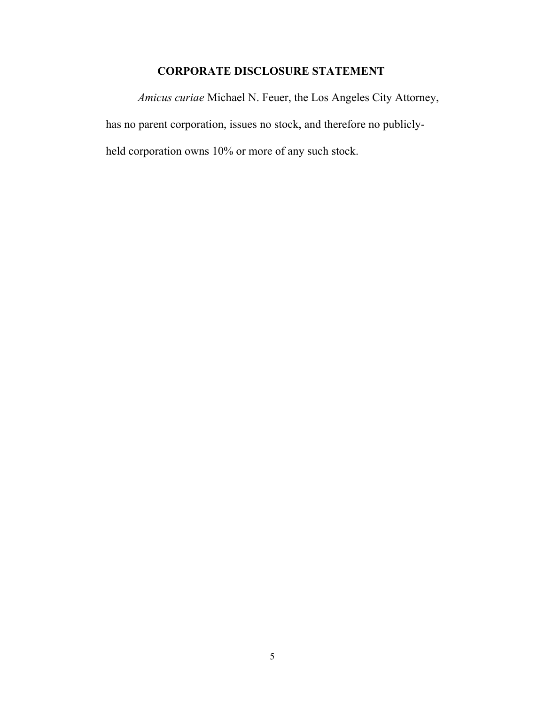## CORPORATE DISCLOSURE STATEMENT

Amicus curiae Michael N. Feuer, the Los Angeles City Attorney, has no parent corporation, issues no stock, and therefore no publiclyheld corporation owns 10% or more of any such stock.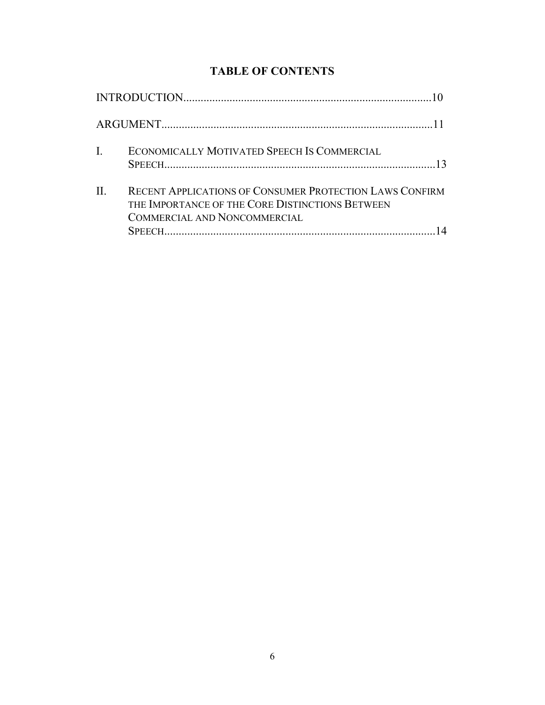# TABLE OF CONTENTS

| L.      | ECONOMICALLY MOTIVATED SPEECH IS COMMERCIAL                                                                                                       |
|---------|---------------------------------------------------------------------------------------------------------------------------------------------------|
| $\prod$ | <b>RECENT APPLICATIONS OF CONSUMER PROTECTION LAWS CONFIRM</b><br>THE IMPORTANCE OF THE CORE DISTINCTIONS BETWEEN<br>COMMERCIAL AND NONCOMMERCIAL |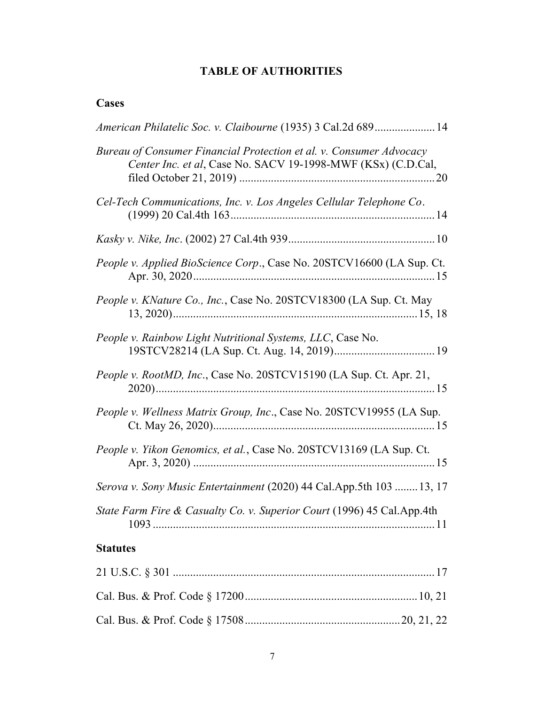# TABLE OF AUTHORITIES

## **Cases**

| American Philatelic Soc. v. Claibourne (1935) 3 Cal.2d 68914                                                                        |
|-------------------------------------------------------------------------------------------------------------------------------------|
| Bureau of Consumer Financial Protection et al. v. Consumer Advocacy<br>Center Inc. et al, Case No. SACV 19-1998-MWF (KSx) (C.D.Cal, |
| Cel-Tech Communications, Inc. v. Los Angeles Cellular Telephone Co.                                                                 |
|                                                                                                                                     |
| People v. Applied BioScience Corp., Case No. 20STCV16600 (LA Sup. Ct.                                                               |
| People v. KNature Co., Inc., Case No. 20STCV18300 (LA Sup. Ct. May                                                                  |
| People v. Rainbow Light Nutritional Systems, LLC, Case No.                                                                          |
| People v. RootMD, Inc., Case No. 20STCV15190 (LA Sup. Ct. Apr. 21,                                                                  |
| People v. Wellness Matrix Group, Inc., Case No. 20STCV19955 (LA Sup.                                                                |
| People v. Yikon Genomics, et al., Case No. 20STCV13169 (LA Sup. Ct.                                                                 |
| Serova v. Sony Music Entertainment (2020) 44 Cal.App.5th 103  13, 17                                                                |
| State Farm Fire & Casualty Co. v. Superior Court (1996) 45 Cal.App.4th                                                              |
| <b>Statutes</b>                                                                                                                     |
|                                                                                                                                     |
|                                                                                                                                     |

Cal. Bus. & Prof. Code § 17508 ...................................................... 20, 21, 22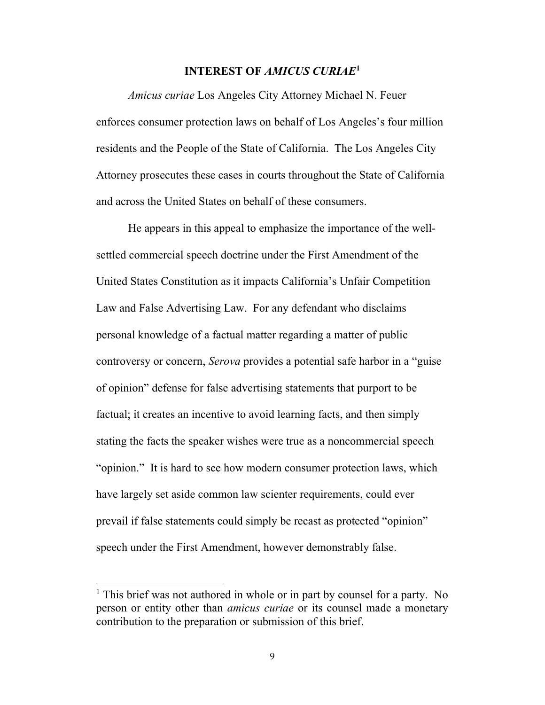### INTEREST OF AMICUS CURIAE<sup>1</sup>

Amicus curiae Los Angeles City Attorney Michael N. Feuer enforces consumer protection laws on behalf of Los Angeles's four million residents and the People of the State of California. The Los Angeles City Attorney prosecutes these cases in courts throughout the State of California and across the United States on behalf of these consumers.

He appears in this appeal to emphasize the importance of the wellsettled commercial speech doctrine under the First Amendment of the United States Constitution as it impacts California's Unfair Competition Law and False Advertising Law. For any defendant who disclaims personal knowledge of a factual matter regarding a matter of public controversy or concern, Serova provides a potential safe harbor in a "guise of opinion" defense for false advertising statements that purport to be factual; it creates an incentive to avoid learning facts, and then simply stating the facts the speaker wishes were true as a noncommercial speech "opinion." It is hard to see how modern consumer protection laws, which have largely set aside common law scienter requirements, could ever prevail if false statements could simply be recast as protected "opinion" speech under the First Amendment, however demonstrably false.

<sup>&</sup>lt;sup>1</sup> This brief was not authored in whole or in part by counsel for a party. No person or entity other than amicus curiae or its counsel made a monetary contribution to the preparation or submission of this brief.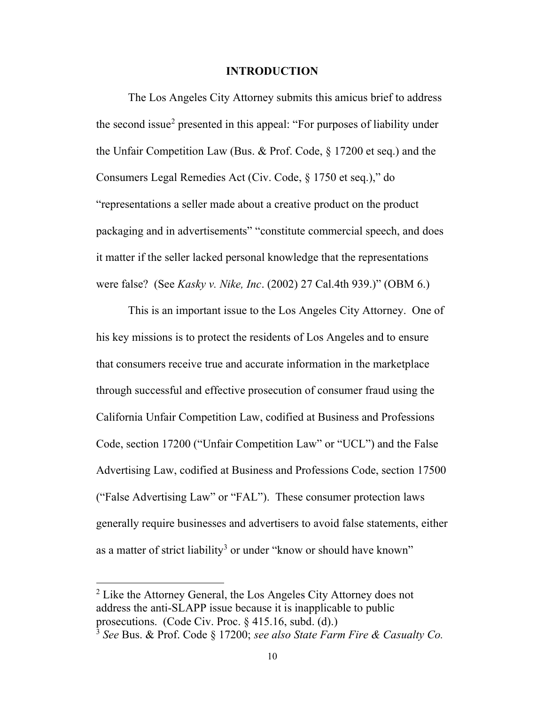#### INTRODUCTION

 The Los Angeles City Attorney submits this amicus brief to address the second issue<sup>2</sup> presented in this appeal: "For purposes of liability under the Unfair Competition Law (Bus. & Prof. Code, § 17200 et seq.) and the Consumers Legal Remedies Act (Civ. Code, § 1750 et seq.)," do "representations a seller made about a creative product on the product packaging and in advertisements" "constitute commercial speech, and does it matter if the seller lacked personal knowledge that the representations were false? (See Kasky v. Nike, Inc. (2002) 27 Cal.4th 939.)" (OBM 6.)

 This is an important issue to the Los Angeles City Attorney. One of his key missions is to protect the residents of Los Angeles and to ensure that consumers receive true and accurate information in the marketplace through successful and effective prosecution of consumer fraud using the California Unfair Competition Law, codified at Business and Professions Code, section 17200 ("Unfair Competition Law" or "UCL") and the False Advertising Law, codified at Business and Professions Code, section 17500 ("False Advertising Law" or "FAL"). These consumer protection laws generally require businesses and advertisers to avoid false statements, either as a matter of strict liability<sup>3</sup> or under "know or should have known"

 $2$  Like the Attorney General, the Los Angeles City Attorney does not address the anti-SLAPP issue because it is inapplicable to public prosecutions. (Code Civ. Proc. § 415.16, subd. (d).)

 $3$  See Bus. & Prof. Code § 17200; see also State Farm Fire & Casualty Co.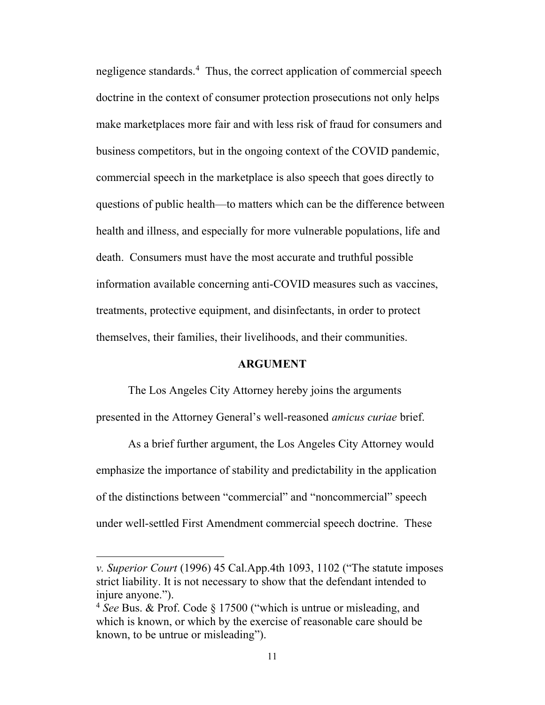negligence standards.<sup>4</sup> Thus, the correct application of commercial speech doctrine in the context of consumer protection prosecutions not only helps make marketplaces more fair and with less risk of fraud for consumers and business competitors, but in the ongoing context of the COVID pandemic, commercial speech in the marketplace is also speech that goes directly to questions of public health—to matters which can be the difference between health and illness, and especially for more vulnerable populations, life and death. Consumers must have the most accurate and truthful possible information available concerning anti-COVID measures such as vaccines, treatments, protective equipment, and disinfectants, in order to protect themselves, their families, their livelihoods, and their communities.

### ARGUMENT

The Los Angeles City Attorney hereby joins the arguments

presented in the Attorney General's well-reasoned amicus curiae brief.

As a brief further argument, the Los Angeles City Attorney would emphasize the importance of stability and predictability in the application of the distinctions between "commercial" and "noncommercial" speech under well-settled First Amendment commercial speech doctrine. These

v. Superior Court (1996) 45 Cal.App.4th 1093, 1102 ("The statute imposes strict liability. It is not necessary to show that the defendant intended to injure anyone.").

 $4$  See Bus. & Prof. Code § 17500 ("which is untrue or misleading, and which is known, or which by the exercise of reasonable care should be known, to be untrue or misleading").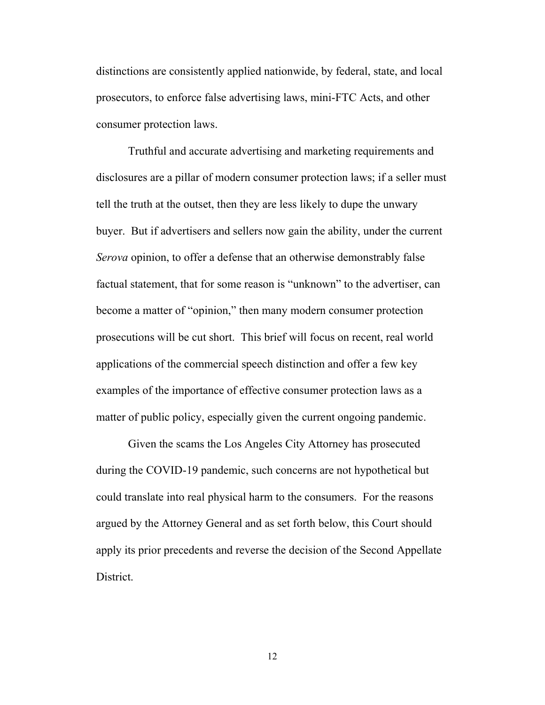distinctions are consistently applied nationwide, by federal, state, and local prosecutors, to enforce false advertising laws, mini-FTC Acts, and other consumer protection laws.

Truthful and accurate advertising and marketing requirements and disclosures are a pillar of modern consumer protection laws; if a seller must tell the truth at the outset, then they are less likely to dupe the unwary buyer. But if advertisers and sellers now gain the ability, under the current Serova opinion, to offer a defense that an otherwise demonstrably false factual statement, that for some reason is "unknown" to the advertiser, can become a matter of "opinion," then many modern consumer protection prosecutions will be cut short. This brief will focus on recent, real world applications of the commercial speech distinction and offer a few key examples of the importance of effective consumer protection laws as a matter of public policy, especially given the current ongoing pandemic.

Given the scams the Los Angeles City Attorney has prosecuted during the COVID-19 pandemic, such concerns are not hypothetical but could translate into real physical harm to the consumers. For the reasons argued by the Attorney General and as set forth below, this Court should apply its prior precedents and reverse the decision of the Second Appellate District.

12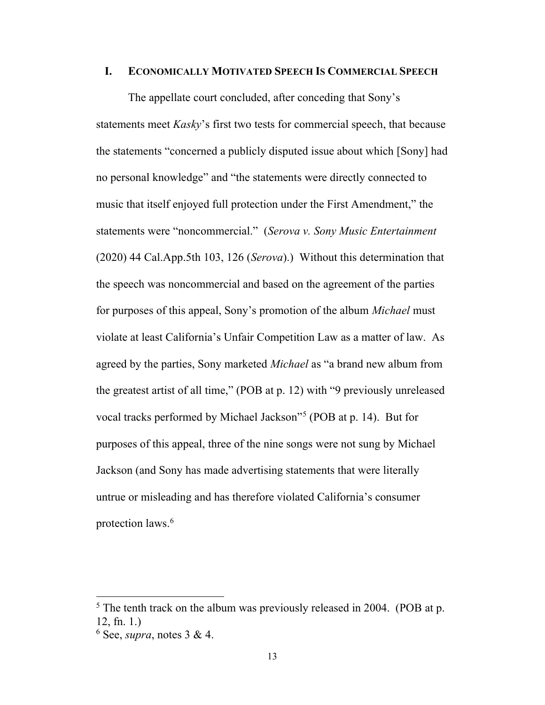#### I. ECONOMICALLY MOTIVATED SPEECH IS COMMERCIAL SPEECH

The appellate court concluded, after conceding that Sony's statements meet Kasky's first two tests for commercial speech, that because the statements "concerned a publicly disputed issue about which [Sony] had no personal knowledge" and "the statements were directly connected to music that itself enjoyed full protection under the First Amendment," the statements were "noncommercial." (Serova v. Sony Music Entertainment (2020) 44 Cal.App.5th 103, 126 (Serova).) Without this determination that the speech was noncommercial and based on the agreement of the parties for purposes of this appeal, Sony's promotion of the album Michael must violate at least California's Unfair Competition Law as a matter of law. As agreed by the parties, Sony marketed *Michael* as "a brand new album from the greatest artist of all time," (POB at p. 12) with "9 previously unreleased vocal tracks performed by Michael Jackson"<sup>5</sup> (POB at p. 14). But for purposes of this appeal, three of the nine songs were not sung by Michael Jackson (and Sony has made advertising statements that were literally untrue or misleading and has therefore violated California's consumer protection laws.<sup>6</sup>

 $<sup>5</sup>$  The tenth track on the album was previously released in 2004. (POB at p.</sup> 12, fn. 1.)

 $^6$  See, *supra*, notes 3 & 4.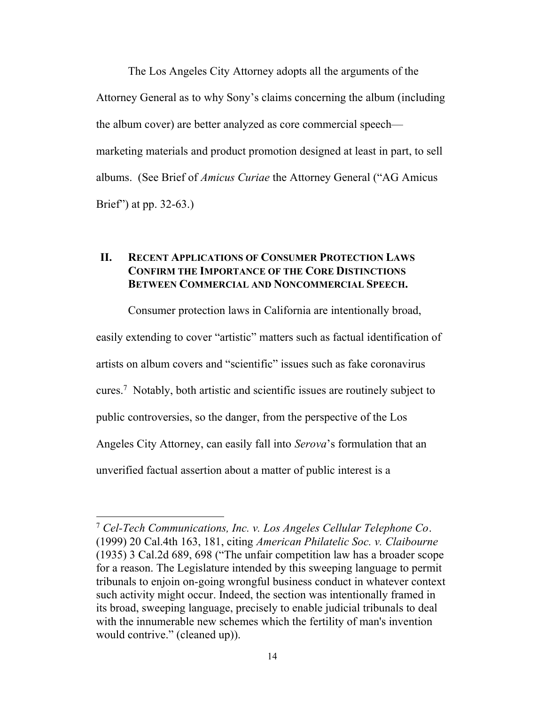The Los Angeles City Attorney adopts all the arguments of the Attorney General as to why Sony's claims concerning the album (including the album cover) are better analyzed as core commercial speech marketing materials and product promotion designed at least in part, to sell albums. (See Brief of Amicus Curiae the Attorney General ("AG Amicus Brief") at pp. 32-63.)

### II. RECENT APPLICATIONS OF CONSUMER PROTECTION LAWS CONFIRM THE IMPORTANCE OF THE CORE DISTINCTIONS BETWEEN COMMERCIAL AND NONCOMMERCIAL SPEECH.

Consumer protection laws in California are intentionally broad, easily extending to cover "artistic" matters such as factual identification of artists on album covers and "scientific" issues such as fake coronavirus cures.<sup>7</sup> Notably, both artistic and scientific issues are routinely subject to public controversies, so the danger, from the perspective of the Los Angeles City Attorney, can easily fall into Serova's formulation that an unverified factual assertion about a matter of public interest is a

 $7$  Cel-Tech Communications, Inc. v. Los Angeles Cellular Telephone Co. (1999) 20 Cal.4th 163, 181, citing American Philatelic Soc. v. Claibourne (1935) 3 Cal.2d 689, 698 ("The unfair competition law has a broader scope for a reason. The Legislature intended by this sweeping language to permit tribunals to enjoin on-going wrongful business conduct in whatever context such activity might occur. Indeed, the section was intentionally framed in its broad, sweeping language, precisely to enable judicial tribunals to deal with the innumerable new schemes which the fertility of man's invention would contrive." (cleaned up)).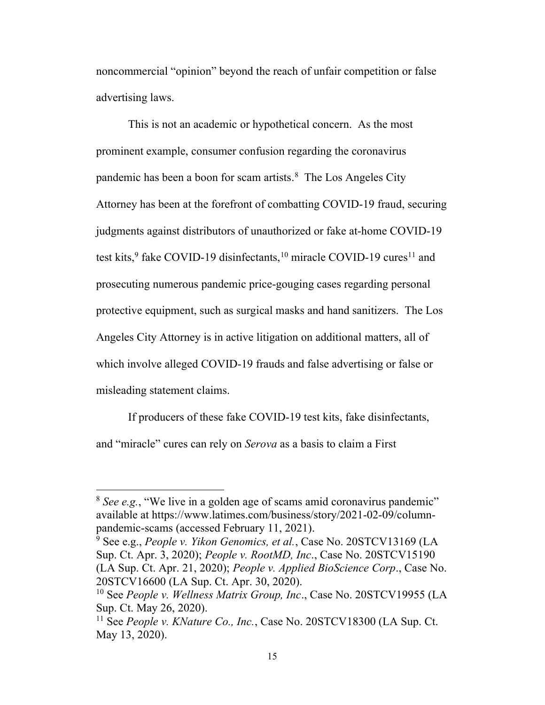noncommercial "opinion" beyond the reach of unfair competition or false advertising laws.

This is not an academic or hypothetical concern. As the most prominent example, consumer confusion regarding the coronavirus pandemic has been a boon for scam artists.<sup>8</sup> The Los Angeles City Attorney has been at the forefront of combatting COVID-19 fraud, securing judgments against distributors of unauthorized or fake at-home COVID-19 test kits,<sup>9</sup> fake COVID-19 disinfectants,<sup>10</sup> miracle COVID-19 cures<sup>11</sup> and prosecuting numerous pandemic price-gouging cases regarding personal protective equipment, such as surgical masks and hand sanitizers. The Los Angeles City Attorney is in active litigation on additional matters, all of which involve alleged COVID-19 frauds and false advertising or false or misleading statement claims.

If producers of these fake COVID-19 test kits, fake disinfectants, and "miracle" cures can rely on Serova as a basis to claim a First

 $8$  See e.g., "We live in a golden age of scams amid coronavirus pandemic" available at https://www.latimes.com/business/story/2021-02-09/columnpandemic-scams (accessed February 11, 2021).

<sup>&</sup>lt;sup>9</sup> See e.g., People v. Yikon Genomics, et al., Case No. 20STCV13169 (LA Sup. Ct. Apr. 3, 2020); People v. RootMD, Inc., Case No. 20STCV15190 (LA Sup. Ct. Apr. 21, 2020); People v. Applied BioScience Corp., Case No. 20STCV16600 (LA Sup. Ct. Apr. 30, 2020).

<sup>&</sup>lt;sup>10</sup> See People v. Wellness Matrix Group, Inc., Case No. 20STCV19955 (LA Sup. Ct. May 26, 2020).

<sup>&</sup>lt;sup>11</sup> See *People v. KNature Co., Inc.*, Case No. 20STCV18300 (LA Sup. Ct. May 13, 2020).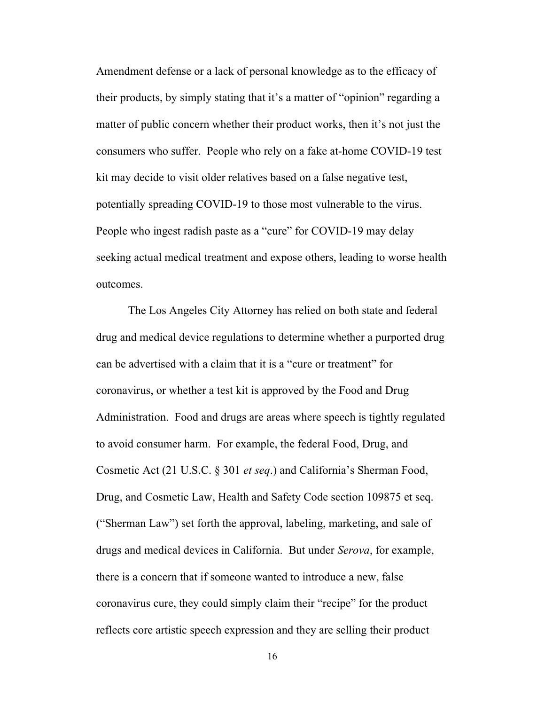Amendment defense or a lack of personal knowledge as to the efficacy of their products, by simply stating that it's a matter of "opinion" regarding a matter of public concern whether their product works, then it's not just the consumers who suffer. People who rely on a fake at-home COVID-19 test kit may decide to visit older relatives based on a false negative test, potentially spreading COVID-19 to those most vulnerable to the virus. People who ingest radish paste as a "cure" for COVID-19 may delay seeking actual medical treatment and expose others, leading to worse health outcomes.

The Los Angeles City Attorney has relied on both state and federal drug and medical device regulations to determine whether a purported drug can be advertised with a claim that it is a "cure or treatment" for coronavirus, or whether a test kit is approved by the Food and Drug Administration. Food and drugs are areas where speech is tightly regulated to avoid consumer harm. For example, the federal Food, Drug, and Cosmetic Act (21 U.S.C. § 301 et seq.) and California's Sherman Food, Drug, and Cosmetic Law, Health and Safety Code section 109875 et seq. ("Sherman Law") set forth the approval, labeling, marketing, and sale of drugs and medical devices in California. But under Serova, for example, there is a concern that if someone wanted to introduce a new, false coronavirus cure, they could simply claim their "recipe" for the product reflects core artistic speech expression and they are selling their product

16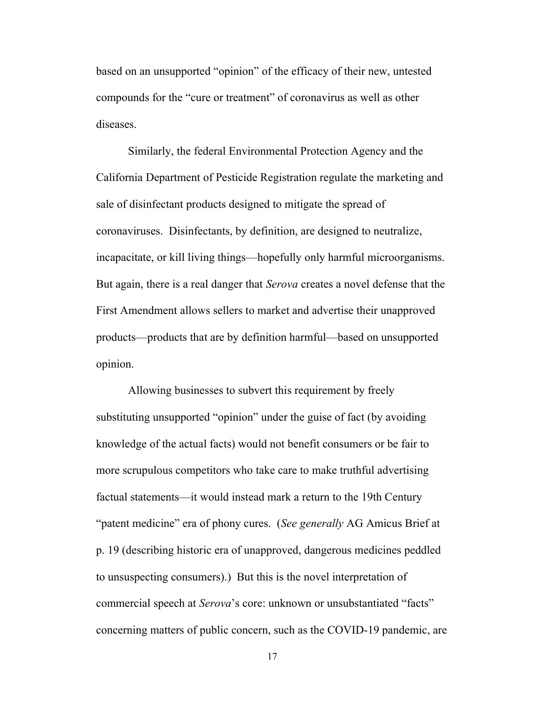based on an unsupported "opinion" of the efficacy of their new, untested compounds for the "cure or treatment" of coronavirus as well as other diseases.

Similarly, the federal Environmental Protection Agency and the California Department of Pesticide Registration regulate the marketing and sale of disinfectant products designed to mitigate the spread of coronaviruses. Disinfectants, by definition, are designed to neutralize, incapacitate, or kill living things—hopefully only harmful microorganisms. But again, there is a real danger that *Serova* creates a novel defense that the First Amendment allows sellers to market and advertise their unapproved products—products that are by definition harmful—based on unsupported opinion.

Allowing businesses to subvert this requirement by freely substituting unsupported "opinion" under the guise of fact (by avoiding knowledge of the actual facts) would not benefit consumers or be fair to more scrupulous competitors who take care to make truthful advertising factual statements—it would instead mark a return to the 19th Century "patent medicine" era of phony cures. (See generally AG Amicus Brief at p. 19 (describing historic era of unapproved, dangerous medicines peddled to unsuspecting consumers).) But this is the novel interpretation of commercial speech at Serova's core: unknown or unsubstantiated "facts" concerning matters of public concern, such as the COVID-19 pandemic, are

17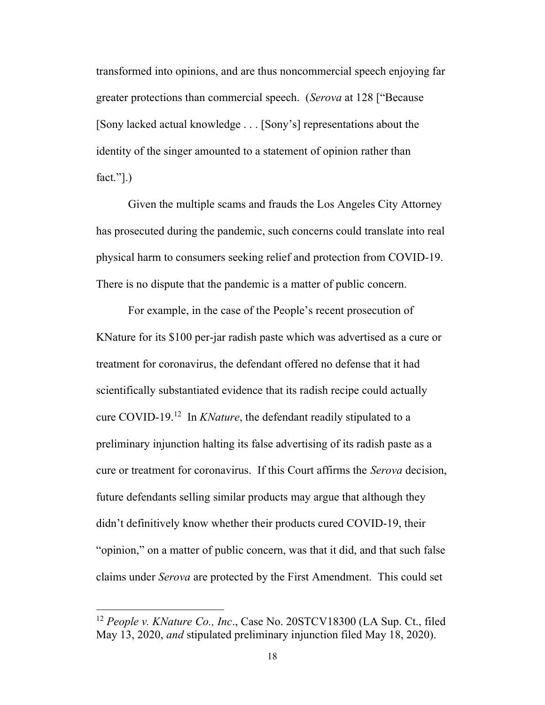transformed into opinions, and are thus noncommercial speech enjoying far greater protections than commercial speech. (Serova at 128 ["Because" [Sony lacked actual knowledge . . . [Sony's] representations about the identity of the singer amounted to a statement of opinion rather than fact."].)

Given the multiple scams and frauds the Los Angeles City Attorney has prosecuted during the pandemic, such concerns could translate into real physical harm to consumers seeking relief and protection from COVID-19. There is no dispute that the pandemic is a matter of public concern.

For example, in the case of the People's recent prosecution of KNature for its \$100 per-jar radish paste which was advertised as a cure or treatment for coronavirus, the defendant offered no defense that it had scientifically substantiated evidence that its radish recipe could actually cure COVID-19.<sup>12</sup> In *KNature*, the defendant readily stipulated to a preliminary injunction halting its false advertising of its radish paste as a cure or treatment for coronavirus. If this Court affirms the Serova decision, future defendants selling similar products may argue that although they didn't definitively know whether their products cured COVID-19, their "opinion," on a matter of public concern, was that it did, and that such false claims under Serova are protected by the First Amendment. This could set

<sup>&</sup>lt;sup>12</sup> People v. KNature Co., Inc., Case No. 20STCV18300 (LA Sup. Ct., filed May 13, 2020, and stipulated preliminary injunction filed May 18, 2020).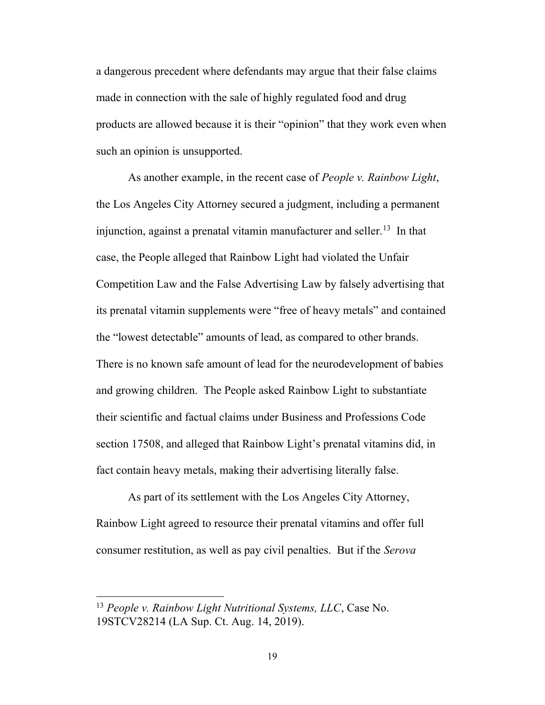a dangerous precedent where defendants may argue that their false claims made in connection with the sale of highly regulated food and drug products are allowed because it is their "opinion" that they work even when such an opinion is unsupported.

As another example, in the recent case of People v. Rainbow Light, the Los Angeles City Attorney secured a judgment, including a permanent injunction, against a prenatal vitamin manufacturer and seller.<sup>13</sup> In that case, the People alleged that Rainbow Light had violated the Unfair Competition Law and the False Advertising Law by falsely advertising that its prenatal vitamin supplements were "free of heavy metals" and contained the "lowest detectable" amounts of lead, as compared to other brands. There is no known safe amount of lead for the neurodevelopment of babies and growing children. The People asked Rainbow Light to substantiate their scientific and factual claims under Business and Professions Code section 17508, and alleged that Rainbow Light's prenatal vitamins did, in fact contain heavy metals, making their advertising literally false.

As part of its settlement with the Los Angeles City Attorney, Rainbow Light agreed to resource their prenatal vitamins and offer full consumer restitution, as well as pay civil penalties. But if the Serova

 $13$  People v. Rainbow Light Nutritional Systems, LLC, Case No. 19STCV28214 (LA Sup. Ct. Aug. 14, 2019).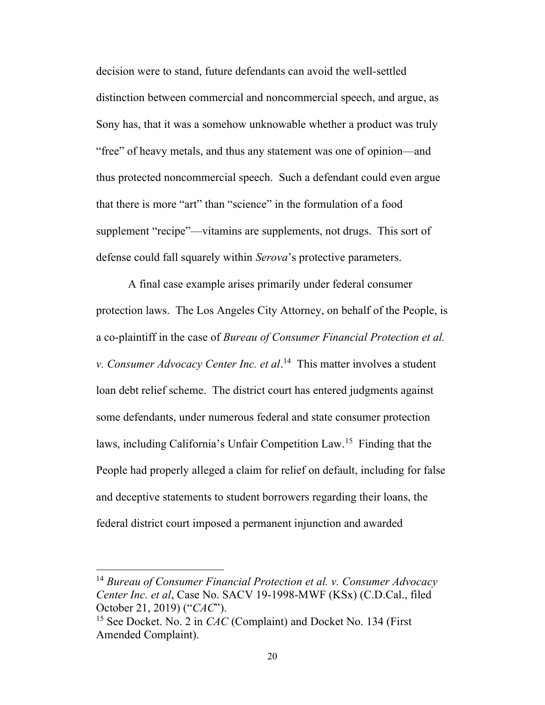decision were to stand, future defendants can avoid the well-settled distinction between commercial and noncommercial speech, and argue, as Sony has, that it was a somehow unknowable whether a product was truly "free" of heavy metals, and thus any statement was one of opinion—and thus protected noncommercial speech. Such a defendant could even argue that there is more "art" than "science" in the formulation of a food supplement "recipe"—vitamins are supplements, not drugs. This sort of defense could fall squarely within Serova's protective parameters.

A final case example arises primarily under federal consumer protection laws. The Los Angeles City Attorney, on behalf of the People, is a co-plaintiff in the case of Bureau of Consumer Financial Protection et al. v. Consumer Advocacy Center Inc. et al.<sup>14</sup> This matter involves a student loan debt relief scheme. The district court has entered judgments against some defendants, under numerous federal and state consumer protection laws, including California's Unfair Competition Law.<sup>15</sup> Finding that the People had properly alleged a claim for relief on default, including for false and deceptive statements to student borrowers regarding their loans, the federal district court imposed a permanent injunction and awarded

 $14$  Bureau of Consumer Financial Protection et al. v. Consumer Advocacy Center Inc. et al, Case No. SACV 19-1998-MWF (KSx) (C.D.Cal., filed October 21, 2019) ("CAC").

<sup>&</sup>lt;sup>15</sup> See Docket. No. 2 in *CAC* (Complaint) and Docket No. 134 (First Amended Complaint).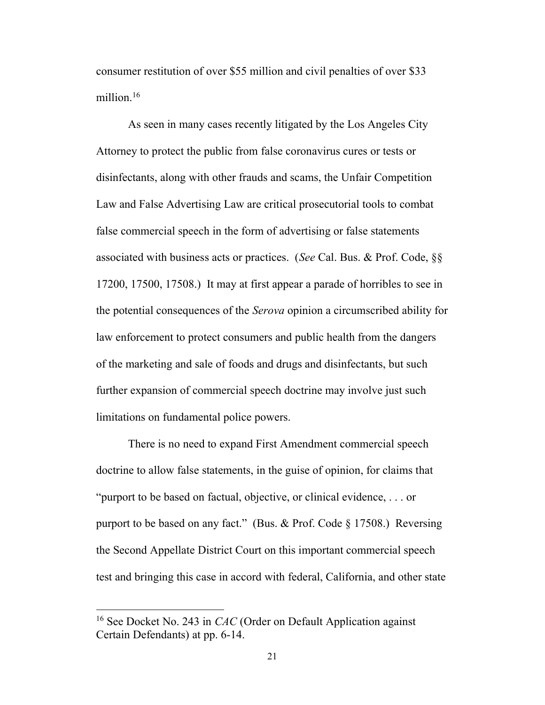consumer restitution of over \$55 million and civil penalties of over \$33 million.<sup>16</sup>

As seen in many cases recently litigated by the Los Angeles City Attorney to protect the public from false coronavirus cures or tests or disinfectants, along with other frauds and scams, the Unfair Competition Law and False Advertising Law are critical prosecutorial tools to combat false commercial speech in the form of advertising or false statements associated with business acts or practices. (See Cal. Bus. & Prof. Code, §§ 17200, 17500, 17508.) It may at first appear a parade of horribles to see in the potential consequences of the Serova opinion a circumscribed ability for law enforcement to protect consumers and public health from the dangers of the marketing and sale of foods and drugs and disinfectants, but such further expansion of commercial speech doctrine may involve just such limitations on fundamental police powers.

There is no need to expand First Amendment commercial speech doctrine to allow false statements, in the guise of opinion, for claims that "purport to be based on factual, objective, or clinical evidence, . . . or purport to be based on any fact." (Bus. & Prof. Code § 17508.) Reversing the Second Appellate District Court on this important commercial speech test and bringing this case in accord with federal, California, and other state

<sup>&</sup>lt;sup>16</sup> See Docket No. 243 in *CAC* (Order on Default Application against Certain Defendants) at pp. 6-14.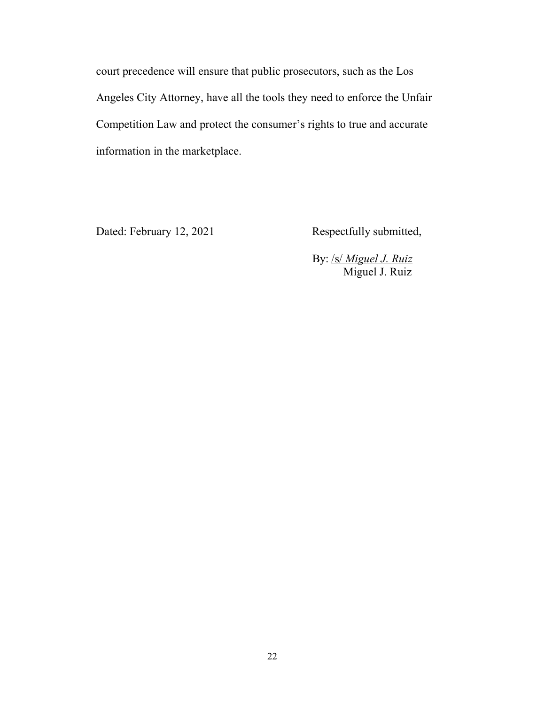court precedence will ensure that public prosecutors, such as the Los Angeles City Attorney, have all the tools they need to enforce the Unfair Competition Law and protect the consumer's rights to true and accurate information in the marketplace.

Dated: February 12, 2021 Respectfully submitted,

By: /s/ Miguel J. Ruiz Miguel J. Ruiz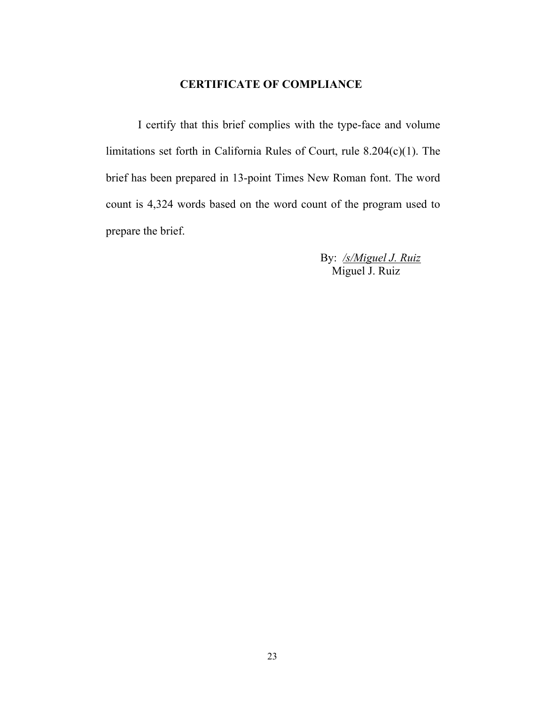## CERTIFICATE OF COMPLIANCE

I certify that this brief complies with the type-face and volume limitations set forth in California Rules of Court, rule 8.204(c)(1). The brief has been prepared in 13-point Times New Roman font. The word count is 4,324 words based on the word count of the program used to prepare the brief.

> By: /s/Miguel J. Ruiz Miguel J. Ruiz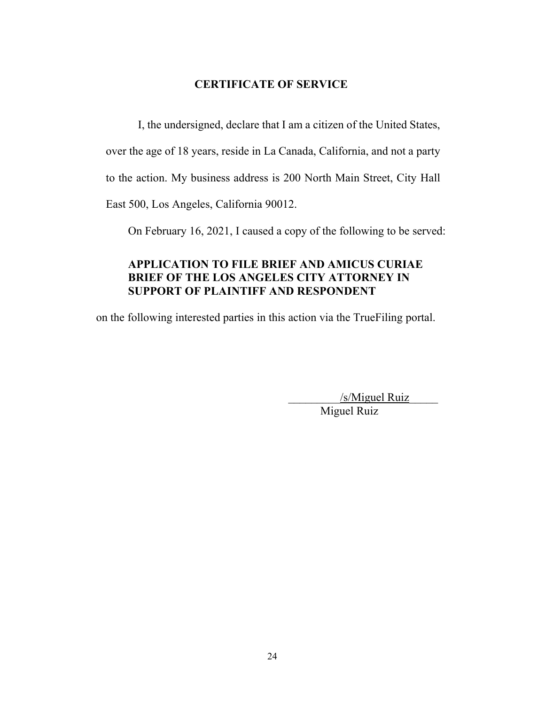## CERTIFICATE OF SERVICE

I, the undersigned, declare that I am a citizen of the United States, over the age of 18 years, reside in La Canada, California, and not a party to the action. My business address is 200 North Main Street, City Hall East 500, Los Angeles, California 90012.

On February 16, 2021, I caused a copy of the following to be served:

## APPLICATION TO FILE BRIEF AND AMICUS CURIAE BRIEF OF THE LOS ANGELES CITY ATTORNEY IN SUPPORT OF PLAINTIFF AND RESPONDENT

on the following interested parties in this action via the TrueFiling portal.

/s/Miguel Ruiz Miguel Ruiz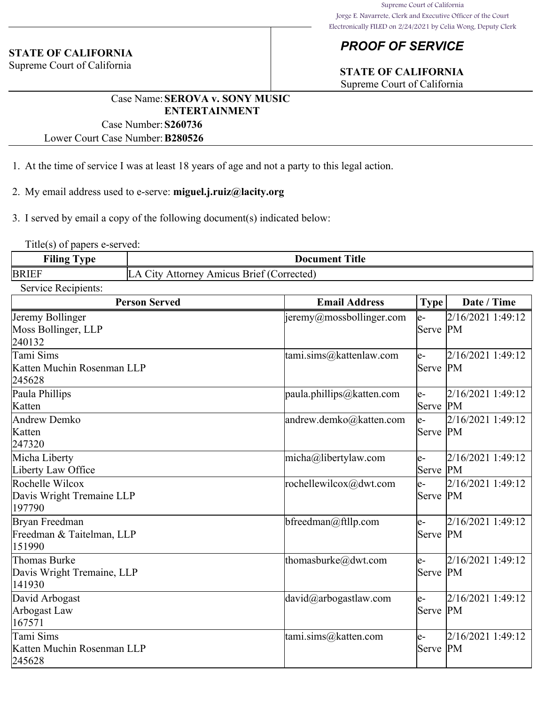### **STATE OF CALIFORNIA**

Supreme Court of California

# *PROOF OF SERVICE*

# **STATE OF CALIFORNIA**

Supreme Court of California

## Case Name:**SEROVA v. SONY MUSIC ENTERTAINMENT**

Case Number:**S260736** Lower Court Case Number:**B280526**

1. At the time of service I was at least 18 years of age and not a party to this legal action.

2. My email address used to e-serve: **miguel.j.ruiz@lacity.org**

3. I served by email a copy of the following document(s) indicated below:

Title(s) of papers e-served:

| $\blacksquare$<br>Filing<br>vpe | <b>Title</b><br>Document                             |  |
|---------------------------------|------------------------------------------------------|--|
| <b>BRIEF</b>                    | Brief (C<br>Corrected)<br>Amicus<br>Attornev<br>.1TV |  |

Service Recipients:

| <b>Person Served</b>                                   | <b>Email Address</b>                              | <b>Type</b>       | Date / Time       |
|--------------------------------------------------------|---------------------------------------------------|-------------------|-------------------|
| Jeremy Bollinger<br>Moss Bollinger, LLP<br>240132      | $\left  \text{jeremy@mossbollinger.com} \right $  | le-<br>Serve PM   | 2/16/2021 1:49:12 |
| Tami Sims<br>Katten Muchin Rosenman LLP<br>245628      | tami.sims@kattenlaw.com                           | le-<br>Serve PM   | 2/16/2021 1:49:12 |
| Paula Phillips<br>Katten                               | $ $ paula.phillips@katten.com                     | le-<br>Serve PM   | 2/16/2021 1:49:12 |
| Andrew Demko<br>Katten<br>247320                       | andrew.demko@katten.com                           | le-<br>Serve PM   | 2/16/2021 1:49:12 |
| Micha Liberty<br>Liberty Law Office                    | micha@libertylaw.com                              | le-<br>Serve PM   | 2/16/2021 1:49:12 |
| Rochelle Wilcox<br>Davis Wright Tremaine LLP<br>197790 | rochellewilcox@dwt.com                            | le-<br> Serve  PM | 2/16/2021 1:49:12 |
| Bryan Freedman<br>Freedman & Taitelman, LLP<br>151990  | $b$ freedman@ftllp.com                            | le-<br>Serve PM   | 2/16/2021 1:49:12 |
| Thomas Burke<br>Davis Wright Tremaine, LLP<br>141930   | thomasburke@dwt.com                               | le-<br>Serve PM   | 2/16/2021 1:49:12 |
| David Arbogast<br>Arbogast Law<br>167571               | $\frac{1}{2}$ david $\frac{1}{2}$ arbogastlaw.com | le-<br>Serve PM   | 2/16/2021 1:49:12 |
| Tami Sims<br>Katten Muchin Rosenman LLP<br>245628      | tami.sims@katten.com                              | le-<br>Serve PM   | 2/16/2021 1:49:12 |